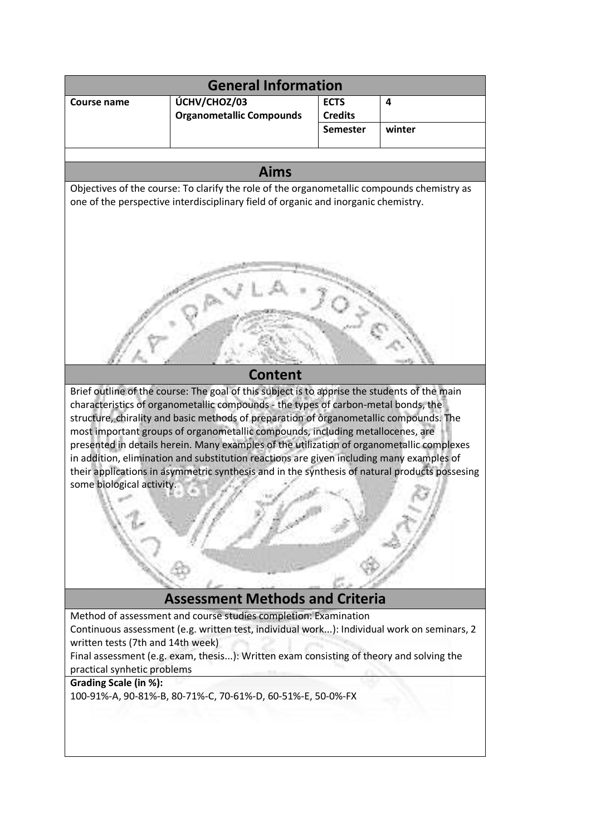| <b>General Information</b>                                                                                                                                                                                                                                                                                                                                                                                                                                                                                                                                                                                                                                                            |                                                                                                                                                                                                                                                                                                                         |                 |        |
|---------------------------------------------------------------------------------------------------------------------------------------------------------------------------------------------------------------------------------------------------------------------------------------------------------------------------------------------------------------------------------------------------------------------------------------------------------------------------------------------------------------------------------------------------------------------------------------------------------------------------------------------------------------------------------------|-------------------------------------------------------------------------------------------------------------------------------------------------------------------------------------------------------------------------------------------------------------------------------------------------------------------------|-----------------|--------|
| Course name                                                                                                                                                                                                                                                                                                                                                                                                                                                                                                                                                                                                                                                                           | ÚCHV/CHOZ/03                                                                                                                                                                                                                                                                                                            | <b>ECTS</b>     | 4      |
|                                                                                                                                                                                                                                                                                                                                                                                                                                                                                                                                                                                                                                                                                       | <b>Organometallic Compounds</b>                                                                                                                                                                                                                                                                                         | <b>Credits</b>  |        |
|                                                                                                                                                                                                                                                                                                                                                                                                                                                                                                                                                                                                                                                                                       |                                                                                                                                                                                                                                                                                                                         | <b>Semester</b> | winter |
|                                                                                                                                                                                                                                                                                                                                                                                                                                                                                                                                                                                                                                                                                       |                                                                                                                                                                                                                                                                                                                         |                 |        |
| <b>Aims</b>                                                                                                                                                                                                                                                                                                                                                                                                                                                                                                                                                                                                                                                                           |                                                                                                                                                                                                                                                                                                                         |                 |        |
| Objectives of the course: To clarify the role of the organometallic compounds chemistry as                                                                                                                                                                                                                                                                                                                                                                                                                                                                                                                                                                                            |                                                                                                                                                                                                                                                                                                                         |                 |        |
| one of the perspective interdisciplinary field of organic and inorganic chemistry.                                                                                                                                                                                                                                                                                                                                                                                                                                                                                                                                                                                                    |                                                                                                                                                                                                                                                                                                                         |                 |        |
| <b>Content</b>                                                                                                                                                                                                                                                                                                                                                                                                                                                                                                                                                                                                                                                                        |                                                                                                                                                                                                                                                                                                                         |                 |        |
|                                                                                                                                                                                                                                                                                                                                                                                                                                                                                                                                                                                                                                                                                       |                                                                                                                                                                                                                                                                                                                         |                 |        |
| Brief outline of the course: The goal of this subject is to apprise the students of the main<br>characteristics of organometallic compounds - the types of carbon-metal bonds, the<br>structure, chirality and basic methods of preparation of organometallic compounds. The<br>most important groups of organometallic compounds, including metallocenes, are<br>presented in details herein. Many examples of the utilization of organometallic complexes<br>in addition, elimination and substitution reactions are given including many examples of<br>their applications in asymmetric synthesis and in the synthesis of natural products possesing<br>some biological activity. |                                                                                                                                                                                                                                                                                                                         |                 |        |
| <b>Assessment Methods and Criteria</b>                                                                                                                                                                                                                                                                                                                                                                                                                                                                                                                                                                                                                                                |                                                                                                                                                                                                                                                                                                                         |                 |        |
| written tests (7th and 14th week)<br>practical synhetic problems<br>Grading Scale (in %):                                                                                                                                                                                                                                                                                                                                                                                                                                                                                                                                                                                             | Method of assessment and course studies completion: Examination<br>Continuous assessment (e.g. written test, individual work): Individual work on seminars, 2<br>Final assessment (e.g. exam, thesis): Written exam consisting of theory and solving the<br>100-91%-A, 90-81%-B, 80-71%-C, 70-61%-D, 60-51%-E, 50-0%-FX |                 |        |